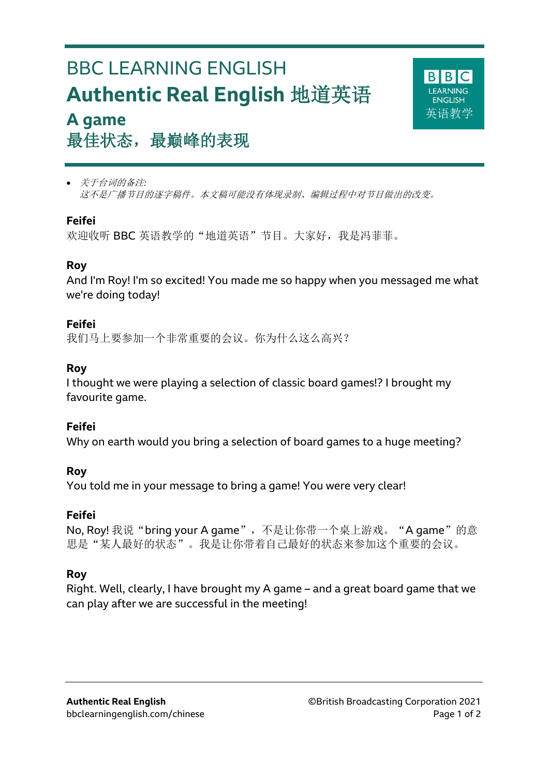## BBC LEARNING ENGLISH **Authentic Real English** 地道英语 **A game**



# 最佳状态,最巅峰的表现

 关于台词的备注*:* 这不是广播节目的逐字稿件。本文稿可能没有体现录制、编辑过程中对节目做出的改变。

#### **Feifei**

欢迎收听 BBC 英语教学的"地道英语"节目。大家好,我是冯菲菲。

#### **Roy**

And I'm Roy! I'm so excited! You made me so happy when you messaged me what we're doing today!

#### **Feifei**

我们马上要参加一个非常重要的会议。你为什么这么高兴?

#### **Roy**

I thought we were playing a selection of classic board games!? I brought my favourite game.

#### **Feifei**

Why on earth would you bring a selection of board games to a huge meeting?

#### **Roy**

You told me in your message to bring a game! You were very clear!

## **Feifei**

No, Roy! 我说"bring your A game", 不是让你带一个桌上游戏。"A game"的意 思是"某人最好的状态"。我是让你带着自己最好的状态来参加这个重要的会议。

## **Roy**

Right. Well, clearly, I have brought my A game – and a great board game that we can play after we are successful in the meeting!